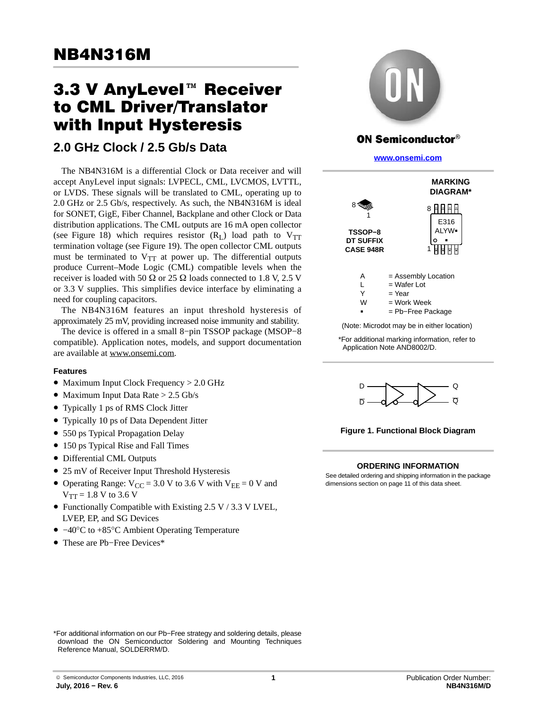# nd∓no rom<br>3.3 V AnyLevel™ Receiver to CML Driver/Translator with Input Hysteresis

## **2.0 GHz Clock / 2.5 Gb/s Data**

The NB4N316M is a differential Clock or Data receiver and will accept AnyLevel input signals: LVPECL, CML, LVCMOS, LVTTL, or LVDS. These signals will be translated to CML, operating up to 2.0 GHz or 2.5 Gb/s, respectively. As such, the NB4N316M is ideal for SONET, GigE, Fiber Channel, Backplane and other Clock or Data distribution applications. The CML outputs are 16 mA open collector (see Figure [18\)](#page-8-0) which requires resistor  $(R<sub>L</sub>)$  load path to  $V<sub>TT</sub>$ termination voltage (see Figure [19](#page-9-0)). The open collector CML outputs must be terminated to  $V_{TT}$  at power up. The differential outputs produce Current–Mode Logic (CML) compatible levels when the receiver is loaded with 50  $\Omega$  or 25  $\Omega$  loads connected to 1.8 V, 2.5 V or 3.3 V supplies. This simplifies device interface by eliminating a need for coupling capacitors.

The NB4N316M features an input threshold hysteresis of approximately 25 mV, providing increased noise immunity and stability.

The device is offered in a small 8−pin TSSOP package (MSOP−8 compatible). Application notes, models, and support documentation are available at www.onsemi.com.

#### **Features**

- Maximum Input Clock Frequency > 2.0 GHz
- Maximum Input Data Rate > 2.5 Gb/s
- Typically 1 ps of RMS Clock Jitter
- Typically 10 ps of Data Dependent Jitter
- 550 ps Typical Propagation Delay
- 150 ps Typical Rise and Fall Times
- Differential CML Outputs
- 25 mV of Receiver Input Threshold Hysteresis
- Operating Range:  $V_{CC} = 3.0 V$  to 3.6 V with  $V_{EE} = 0 V$  and  $V_{TT} = 1.8 V$  to 3.6 V
- Functionally Compatible with Existing 2.5 V / 3.3 V LVEL, LVEP, EP, and SG Devices
- −40°C to +85°C Ambient Operating Temperature
- These are Pb−Free Devices\*



## **ON Semiconductor®**

**[www.onsemi.com]( http://www.onsemi.com/)**



(Note: Microdot may be in either location)

\*For additional marking information, refer to Application Note AND8002/D.



**Figure 1. Functional Block Diagram**

#### **ORDERING INFORMATION**

See detailed ordering and shipping information in the package dimensions section on page [11](#page-10-0) of this data sheet.

\*For additional information on our Pb−Free strategy and soldering details, please download the ON Semiconductor Soldering and Mounting Techniques Reference Manual, SOLDERRM/D.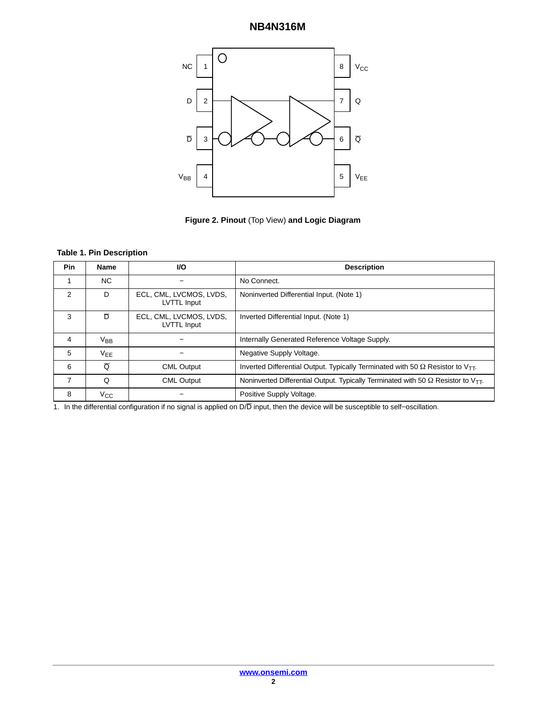

**Figure 2. Pinout** (Top View) **and Logic Diagram**

#### **Table 1. Pin Description**

| Pin | <b>Name</b> | VO.                                    | <b>Description</b>                                                                                   |
|-----|-------------|----------------------------------------|------------------------------------------------------------------------------------------------------|
|     | NС          |                                        | No Connect.                                                                                          |
| 2   | D           | ECL, CML, LVCMOS, LVDS,<br>LVTTL Input | Noninverted Differential Input. (Note 1)                                                             |
| 3   | D           | ECL, CML, LVCMOS, LVDS,<br>LVTTL Input | Inverted Differential Input. (Note 1)                                                                |
| 4   | $V_{BB}$    |                                        | Internally Generated Reference Voltage Supply.                                                       |
| 5   | $V_{EE}$    |                                        | Negative Supply Voltage.                                                                             |
| 6   | Ō           | <b>CML Output</b>                      | Inverted Differential Output. Typically Terminated with 50 $\Omega$ Resistor to V <sub>TT</sub> .    |
| 7   | Q           | <b>CML Output</b>                      | Noninverted Differential Output. Typically Terminated with 50 $\Omega$ Resistor to V <sub>TT</sub> . |
| 8   | Vcc         |                                        | Positive Supply Voltage.                                                                             |

1. In the differential configuration if no signal is applied on D/D input, then the device will be susceptible to self−oscillation.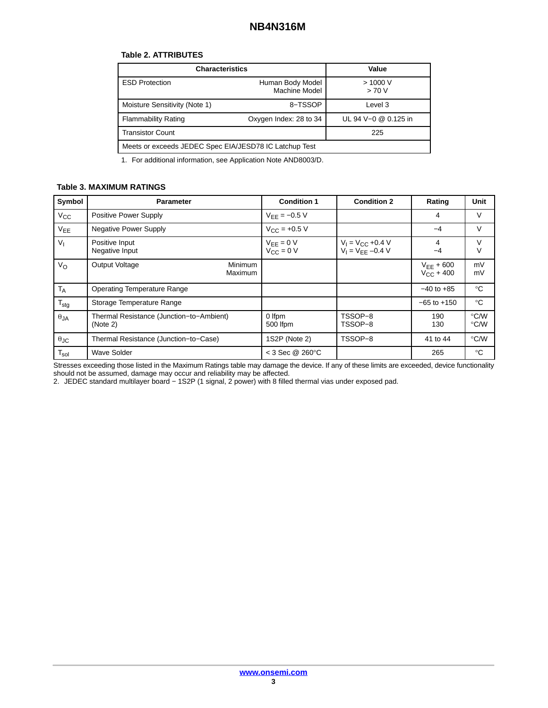#### **Table 2. ATTRIBUTES**

| <b>Characteristics</b>                                 | Value                             |                  |  |  |  |  |
|--------------------------------------------------------|-----------------------------------|------------------|--|--|--|--|
| <b>ESD Protection</b>                                  | Human Body Model<br>Machine Model | > 1000 V<br>>70V |  |  |  |  |
| Moisture Sensitivity (Note 1)                          | 8-TSSOP                           | Level 3          |  |  |  |  |
| <b>Flammability Rating</b>                             | UL 94 V-0 @ 0.125 in              |                  |  |  |  |  |
| <b>Transistor Count</b>                                | 225                               |                  |  |  |  |  |
| Meets or exceeds JEDEC Spec EIA/JESD78 IC Latchup Test |                                   |                  |  |  |  |  |

1. For additional information, see Application Note AND8003/D.

#### **Table 3. MAXIMUM RATINGS**

| Symbol               | <b>Parameter</b>                                     | <b>Condition 1</b>                          | <b>Condition 2</b>                             | Rating                           | Unit                  |
|----------------------|------------------------------------------------------|---------------------------------------------|------------------------------------------------|----------------------------------|-----------------------|
| $V_{\rm CC}$         | Positive Power Supply                                | $V_{FF} = -0.5 V$                           |                                                | 4                                | V                     |
| $V_{EE}$             | <b>Negative Power Supply</b>                         | $V_{\text{CC}} = +0.5 V$                    |                                                | $-4$                             | V                     |
| $V_{1}$              | Positive Input<br>Negative Input                     | $V_{EE} = 0 V$<br>$V_{\text{CC}}^{-} = 0$ V | $V_1 = V_{CC} +0.4 V$<br>$V_1 = V_{FF} -0.4 V$ | 4<br>-4                          | V<br>V                |
| V <sub>O</sub>       | <b>Output Voltage</b><br><b>Minimum</b><br>Maximum   |                                             |                                                | $V_{FF}$ + 600<br>$V_{C}C$ + 400 | mV<br>mV              |
| T <sub>A</sub>       | <b>Operating Temperature Range</b>                   |                                             |                                                | $-40$ to $+85$                   | $^{\circ}C$           |
| $T_{\text{stg}}$     | Storage Temperature Range                            |                                             |                                                | $-65$ to $+150$                  | $^{\circ}C$           |
| $\theta$ JA          | Thermal Resistance (Junction-to-Ambient)<br>(Note 2) | 0 Ifpm<br>500 lfpm                          | TSSOP-8<br>TSSOP-8                             | 190<br>130                       | $\degree$ C/W<br>°C/W |
| $\theta_{\text{JC}}$ | Thermal Resistance (Junction-to-Case)                | 1S2P (Note 2)                               | TSSOP-8                                        | 41 to 44                         | $\degree$ C/W         |
| $T_{sol}$            | <b>Wave Solder</b>                                   | $<$ 3 Sec @ 260 $\degree$ C                 |                                                | 265                              | $^{\circ}C$           |

Stresses exceeding those listed in the Maximum Ratings table may damage the device. If any of these limits are exceeded, device functionality should not be assumed, damage may occur and reliability may be affected.

2. JEDEC standard multilayer board − 1S2P (1 signal, 2 power) with 8 filled thermal vias under exposed pad.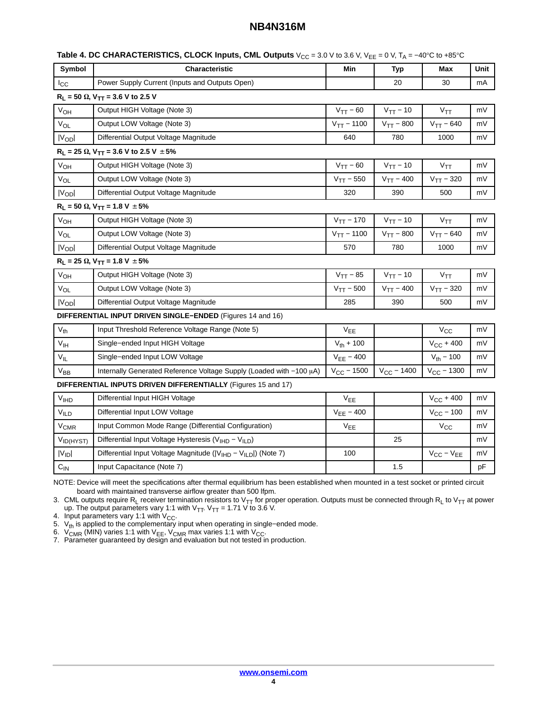| Symbol                                                        | Characteristic                                                                         | Min                        | Typ             | Max                   | Unit |  |  |
|---------------------------------------------------------------|----------------------------------------------------------------------------------------|----------------------------|-----------------|-----------------------|------|--|--|
| lcc                                                           | Power Supply Current (Inputs and Outputs Open)                                         |                            | 20              | 30                    | mA   |  |  |
|                                                               | $R_L$ = 50 $\Omega$ , $V_{TT}$ = 3.6 V to 2.5 V                                        |                            |                 |                       |      |  |  |
| V <sub>OH</sub>                                               | Output HIGH Voltage (Note 3)                                                           | $V_{TT}$ – 60              | $V_{TT}$ – 10   | $V_{TT}$              | mV   |  |  |
| $\mathrm{V_{OL}}$                                             | Output LOW Voltage (Note 3)                                                            | $V_{TT}$ – 1100            | $V_{TT} - 800$  | $V_{TT} - 640$        | mV   |  |  |
| $ V_{OD} $                                                    | Differential Output Voltage Magnitude                                                  | 640                        | 780             | 1000                  | mV   |  |  |
|                                                               | $R_L$ = 25 $\Omega$ , V <sub>TT</sub> = 3.6 V to 2.5 V $\pm$ 5%                        |                            |                 |                       |      |  |  |
| <b>V<sub>OH</sub></b>                                         | Output HIGH Voltage (Note 3)                                                           | $V_{TT}$ – 60              | $V_{TT}$ – 10   | $V_{TT}$              | mV   |  |  |
| V <sub>OL</sub>                                               | Output LOW Voltage (Note 3)                                                            | $V_{TT} - 550$             | $V_{TT}$ – 400  | $V_{TT}$ – 320        | mV   |  |  |
| $ V_{OD} $                                                    | Differential Output Voltage Magnitude                                                  | 320                        | 390             | 500                   | mV   |  |  |
|                                                               | $R_L$ = 50 $\Omega$ , $V_{TT}$ = 1.8 V $\pm$ 5%                                        |                            |                 |                       |      |  |  |
| V <sub>OH</sub>                                               | Output HIGH Voltage (Note 3)                                                           | $V_{TT} - 170$             | $V_{TT}$ – 10   | $V_{TT}$              | mV   |  |  |
| V <sub>OL</sub>                                               | Output LOW Voltage (Note 3)                                                            | $V_{TT} - 1100$            | $V_{TT} - 800$  | $V_{TT}$ – 640        | mV   |  |  |
| $ V_{OD} $                                                    | Differential Output Voltage Magnitude                                                  | 570                        | 780             | 1000                  | mV   |  |  |
|                                                               | $R_L = 25 \Omega$ , $V_{TT} = 1.8 V \pm 5\%$                                           |                            |                 |                       |      |  |  |
| $V_{OH}$                                                      | Output HIGH Voltage (Note 3)                                                           | $V_{TT}$ – 85              | $V_{TT}$ – 10   | $V_{TT}$              | mV   |  |  |
| V <sub>OL</sub>                                               | Output LOW Voltage (Note 3)                                                            | $V_{TT}$ – 500             | $V_{TT} - 400$  | $V_{TT} - 320$        | mV   |  |  |
| $ V_{OD} $                                                    | Differential Output Voltage Magnitude                                                  | 285                        | 390             | 500                   | mV   |  |  |
|                                                               | DIFFERENTIAL INPUT DRIVEN SINGLE-ENDED (Figures 14 and 16)                             |                            |                 |                       |      |  |  |
| $V_{th}$                                                      | Input Threshold Reference Voltage Range (Note 5)                                       | V <sub>EE</sub>            |                 | $V_{CC}$              | mV   |  |  |
| V <sub>IH</sub>                                               | Single-ended Input HIGH Voltage                                                        | $V_{th}$ + 100             |                 | $V_{CC}$ + 400        | mV   |  |  |
| $V_{IL}$                                                      | Single-ended Input LOW Voltage                                                         | $V_{EE} - 400$             |                 | $V_{\text{th}} - 100$ | mV   |  |  |
| V <sub>BB</sub>                                               | Internally Generated Reference Voltage Supply (Loaded with -100 µA)                    | $V_{CC}$ – 1500            | $V_{CC}$ – 1400 | $V_{CC}$ – 1300       | mV   |  |  |
| DIFFERENTIAL INPUTS DRIVEN DIFFERENTIALLY (Figures 15 and 17) |                                                                                        |                            |                 |                       |      |  |  |
| V <sub>IHD</sub>                                              | Differential Input HIGH Voltage                                                        | $\mathsf{V}_{\mathsf{EE}}$ |                 | $V_{CC}$ + 400        | mV   |  |  |
| V <sub>ILD</sub>                                              | Differential Input LOW Voltage                                                         | $V_{EE} - 400$             |                 | $V_{CC}$ – 100        | mV   |  |  |
| V <sub>CMR</sub>                                              | Input Common Mode Range (Differential Configuration)                                   | V <sub>EE</sub>            |                 | $V_{\rm CC}$          | mV   |  |  |
| VID(HYST)                                                     | Differential Input Voltage Hysteresis (V <sub>IHD</sub> - V <sub>ILD</sub> )           |                            | 25              |                       | mV   |  |  |
| $ V_{ID} $                                                    | Differential Input Voltage Magnitude ( V <sub>IHD</sub> - V <sub>ILD</sub>  ) (Note 7) | 100                        |                 | $V_{CC} - V_{EE}$     | mV   |  |  |
| $\mathrm{C_{IN}}$                                             | Input Capacitance (Note 7)                                                             |                            | 1.5             |                       | pF   |  |  |

**Table 4. DC CHARACTERISTICS, CLOCK Inputs, CML Outputs** V<sub>CC</sub> = 3.0 V to 3.6 V, V<sub>EE</sub> = 0 V, T<sub>A</sub> = −40°C to +85°C

NOTE: Device will meet the specifications after thermal equilibrium has been established when mounted in a test socket or printed circuit board with maintained transverse airflow greater than 500 lfpm.

3. CML outputs require R<sub>L</sub> receiver termination resistors to V<sub>TT</sub> for proper operation. Outputs must be connected through R<sub>L</sub> to V<sub>TT</sub> at power up. The output parameters vary 1:1 with  $V_{TT}$ .  $V_{TT}$  = 1.71 V to 3.6 V.

4. Input parameters vary 1:1 with  $V_{CC}$ .

5. V<sub>th</sub> is applied to the complementary input when operating in single–ended mode.

6. V<sub>CMR</sub> (MIN) varies 1:1 with V<sub>EE</sub>, V<sub>CMR</sub> max varies 1:1 with V<sub>CC</sub>.<br>7. Parameter guaranteed by design and evaluation but not tested in production.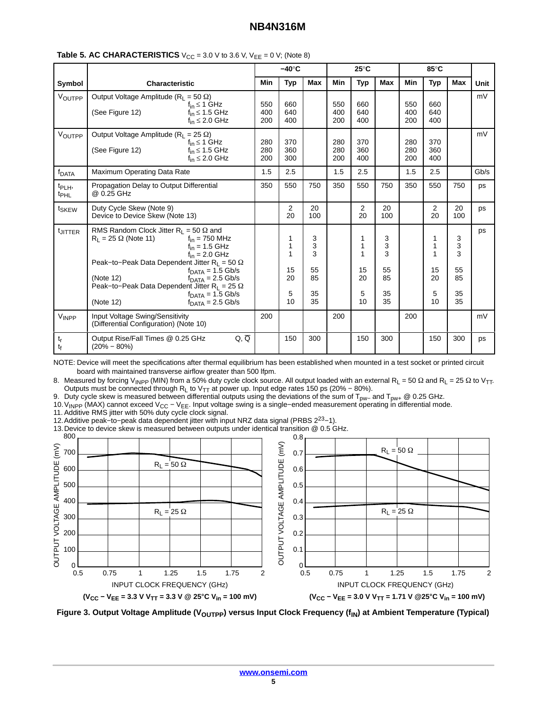|                                        |                                                                                                                                                                                                                                                                                                                                                                                                                                     | $-40^\circ C$     |                                    |                                     | $25^{\circ}$ C    |                                    |                                     | 85°C              |                               |                                     |             |
|----------------------------------------|-------------------------------------------------------------------------------------------------------------------------------------------------------------------------------------------------------------------------------------------------------------------------------------------------------------------------------------------------------------------------------------------------------------------------------------|-------------------|------------------------------------|-------------------------------------|-------------------|------------------------------------|-------------------------------------|-------------------|-------------------------------|-------------------------------------|-------------|
| Symbol                                 | <b>Characteristic</b>                                                                                                                                                                                                                                                                                                                                                                                                               |                   | <b>Typ</b>                         | <b>Max</b>                          | <b>Min</b>        | <b>Typ</b>                         | <b>Max</b>                          | <b>Min</b>        | <b>Typ</b>                    | Max                                 | <b>Unit</b> |
| VOUTPP                                 | Output Voltage Amplitude ( $R_1 = 50 \Omega$ )<br>$f_{\text{in}} \leq 1$ GHz<br>(See Figure 12)<br>$f_{in} \leq 1.5$ GHz<br>$f_{in} \leq 2.0$ GHz                                                                                                                                                                                                                                                                                   | 550<br>400<br>200 | 660<br>640<br>400                  |                                     | 550<br>400<br>200 | 660<br>640<br>400                  |                                     | 550<br>400<br>200 | 660<br>640<br>400             |                                     | mV          |
| VOUTPP                                 | Output Voltage Amplitude ( $R_1 = 25 \Omega$ )<br>$f_{\text{in}} \leq 1$ GHz<br>(See Figure 12)<br>$f_{in} \leq 1.5$ GHz<br>$f_{in} \leq 2.0$ GHz                                                                                                                                                                                                                                                                                   | 280<br>280<br>200 | 370<br>360<br>300                  |                                     | 280<br>280<br>200 | 370<br>360<br>400                  |                                     | 280<br>280<br>200 | 370<br>360<br>400             |                                     | mV          |
| f <sub>DATA</sub>                      | Maximum Operating Data Rate                                                                                                                                                                                                                                                                                                                                                                                                         | 1.5               | 2.5                                |                                     | 1.5               | 2.5                                |                                     | 1.5               | 2.5                           |                                     | Gb/s        |
| t <sub>PLH</sub> ,<br><sup>t</sup> PHL | Propagation Delay to Output Differential<br>@ 0.25 GHz                                                                                                                                                                                                                                                                                                                                                                              | 350               | 550                                | 750                                 | 350               | 550                                | 750                                 | 350               | 550                           | 750                                 | ps          |
| t <sub>SKEW</sub>                      | Duty Cycle Skew (Note 9)<br>Device to Device Skew (Note 13)                                                                                                                                                                                                                                                                                                                                                                         |                   | 2<br>20                            | 20<br>100                           |                   | 2<br>20                            | 20<br>100                           |                   | $\overline{2}$<br>20          | 20<br>100                           | ps          |
| UITTER                                 | RMS Random Clock Jitter $R_L = 50 \Omega$ and<br>$R_1 = 25 \Omega$ (Note 11)<br>$f_{\text{in}}$ = 750 MHz<br>$f_{in}$ = 1.5 GHz<br>$f_{\text{in}} = 2.0$ GHz<br>Peak-to-Peak Data Dependent Jitter R <sub>L</sub> = 50 $\Omega$<br>$fDATA = 1.5$ Gb/s<br>(Note 12)<br>$fDATA = 2.5$ Gb/s<br>Peak-to-Peak Data Dependent Jitter R <sub>L</sub> = 25 $\Omega$<br>$fDATA = 1.5 \text{Gb/s}$<br>(Note 12)<br>$fDATA = 2.5 \text{ Gb/s}$ |                   | 1<br>1<br>1<br>15<br>20<br>5<br>10 | 3<br>3<br>3<br>55<br>85<br>35<br>35 |                   | 1<br>1<br>1<br>15<br>20<br>5<br>10 | 3<br>3<br>3<br>55<br>85<br>35<br>35 |                   | 1<br>1<br>15<br>20<br>5<br>10 | 3<br>3<br>3<br>55<br>85<br>35<br>35 | ps          |
| VINPP                                  | Input Voltage Swing/Sensitivity<br>(Differential Configuration) (Note 10)                                                                                                                                                                                                                                                                                                                                                           | 200               |                                    |                                     | 200               |                                    |                                     | 200               |                               |                                     | mV          |
| $t_{r}$<br>tf                          | $Q, \overline{Q}$<br>Output Rise/Fall Times @ 0.25 GHz<br>$(20\% - 80\%)$                                                                                                                                                                                                                                                                                                                                                           |                   | 150                                | 300                                 |                   | 150                                | 300                                 |                   | 150                           | 300                                 | ps          |

#### **Table 5. AC CHARACTERISTICS**  $V_{CC} = 3.0 \text{ V}$  to 3.6 V,  $V_{EE} = 0 \text{ V}$ ; (Note 8)

NOTE: Device will meet the specifications after thermal equilibrium has been established when mounted in a test socket or printed circuit board with maintained transverse airflow greater than 500 lfpm.

8. Measured by forcing V<sub>INPP</sub> (MIN) from a 50% duty cycle clock source. All output loaded with an external R<sub>L</sub> = 50 Ω and R<sub>L</sub> = 25 Ω to V<sub>TT</sub>. Outputs must be connected through R<sub>L</sub> to V<sub>TT</sub> at power up. Input edge rates 150 ps (20% – 80%).

9. Duty cycle skew is measured between differential outputs using the deviations of the sum of T<sub>pw−</sub> and T<sub>pw+</sub> @ 0.25 GHz.

10. V<sub>INPP</sub> (MAX) cannot exceed V<sub>CC</sub> − V<sub>EE</sub>. Input voltage swing is a single–ended measurement operating in differential mode.

11. Additive RMS jitter with 50% duty cycle clock signal.

12.Additive peak−to−peak data dependent jitter with input NRZ data signal (PRBS 223−1).

13.Device to device skew is measured between outputs under identical transition @ 0.5 GHz.



Figure 3. Output Voltage Amplitude (V<sub>OUTPP</sub>) versus Input Clock Frequency (f<sub>IN</sub>) at Ambient Temperature (Typical)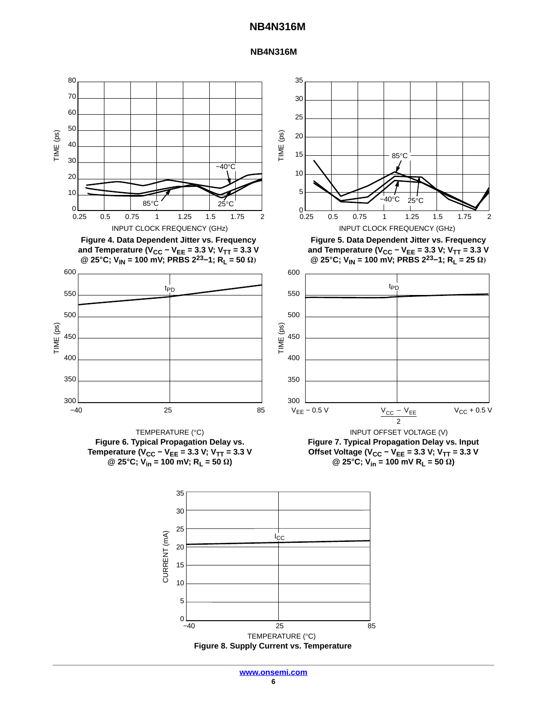#### **NB4N316M**



**Figure 8. Supply Current vs. Temperature**

−40 25 85

TEMPERATURE (°C)

 $0 \perp$ <br>-40

5

10

15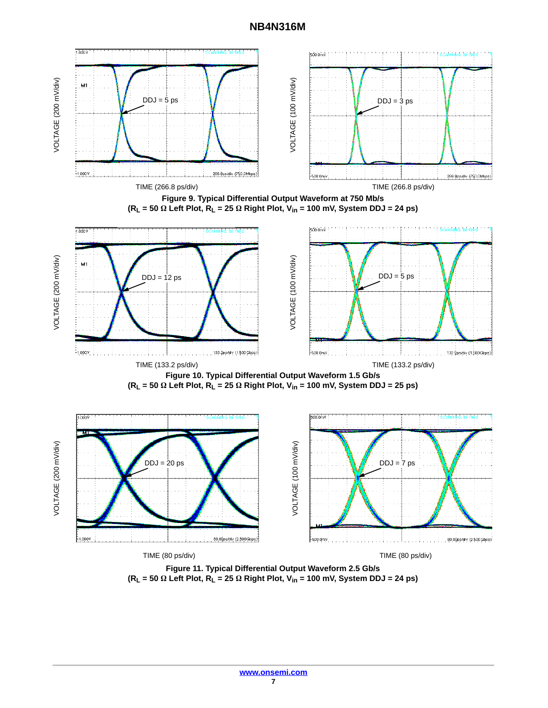

**Figure 11. Typical Differential Output Waveform 2.5 Gb/s (RL = 50 - Left Plot, RL = 25 - Right Plot, Vin = 100 mV, System DDJ = 24 ps)**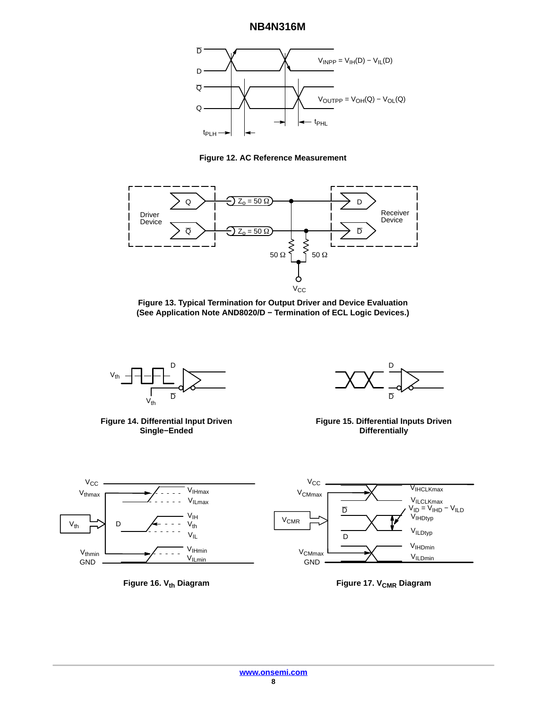<span id="page-7-0"></span>





**Figure 13. Typical Termination for Output Driver and Device Evaluation (See Application Note AND8020/D − Termination of ECL Logic Devices.)**



**Figure 14. Differential Input Driven Single−Ended**



**Figure 15. Differential Inputs Driven Differentially**







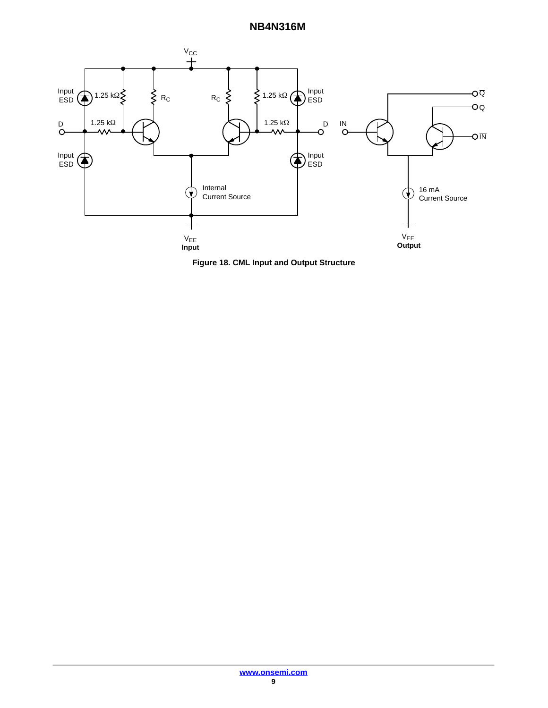<span id="page-8-0"></span>

**Figure 18. CML Input and Output Structure**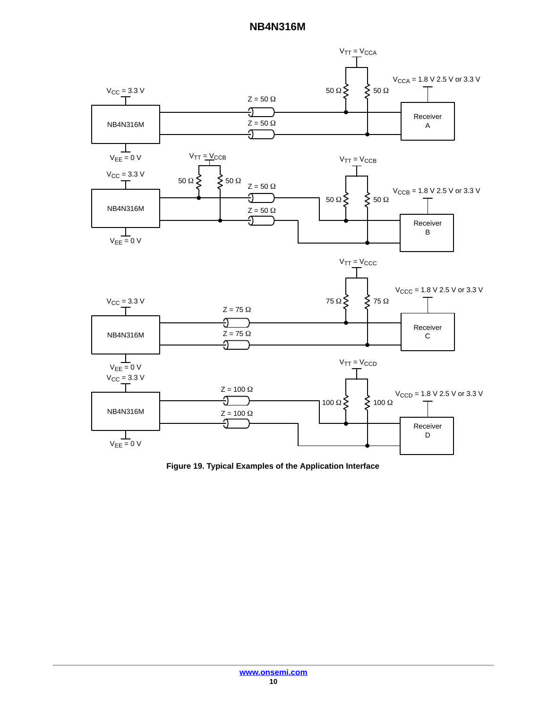<span id="page-9-0"></span>

**Figure 19. Typical Examples of the Application Interface**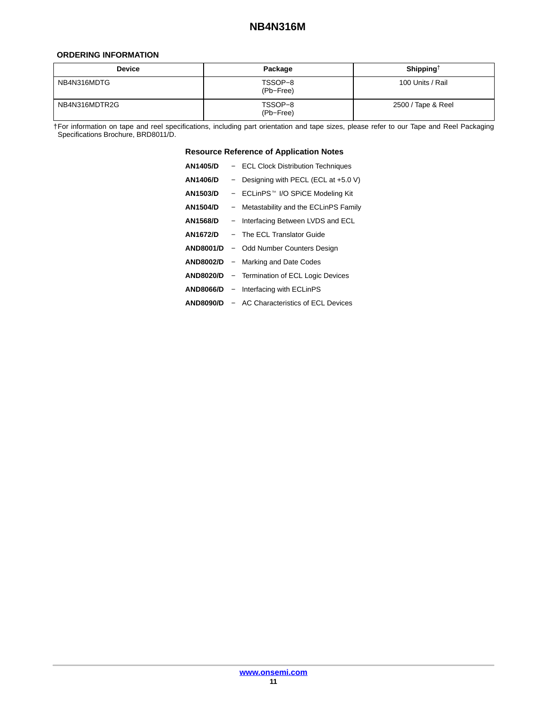#### <span id="page-10-0"></span>**ORDERING INFORMATION**

| <b>Device</b> | Package              | Shipping <sup><math>\uparrow</math></sup> |  |  |
|---------------|----------------------|-------------------------------------------|--|--|
| NB4N316MDTG   | TSSOP-8<br>(Pb-Free) | 100 Units / Rail                          |  |  |
| NB4N316MDTR2G | TSSOP-8<br>(Pb-Free) | 2500 / Tape & Reel                        |  |  |

†For information on tape and reel specifications, including part orientation and tape sizes, please refer to our Tape and Reel Packaging Specifications Brochure, BRD8011/D.

#### **Resource Reference of Application Notes**

| <b>AN1405/D</b>  | - ECL Clock Distribution Techniques         |
|------------------|---------------------------------------------|
| <b>AN1406/D</b>  | - Designing with PECL (ECL at $+5.0$ V)     |
| <b>AN1503/D</b>  | - ECLinPS™ I/O SPiCE Modeling Kit           |
| <b>AN1504/D</b>  | - Metastability and the ECLinPS Family      |
| <b>AN1568/D</b>  | - Interfacing Between LVDS and ECL          |
| AN1672/D         | - The ECL Translator Guide                  |
| <b>AND8001/D</b> | - Odd Number Counters Design                |
|                  | AND8002/D - Marking and Date Codes          |
| <b>AND8020/D</b> | - Termination of ECL Logic Devices          |
|                  | <b>AND8066/D</b> – Interfacing with ECLinPS |
| <b>AND8090/D</b> | - AC Characteristics of ECL Devices         |